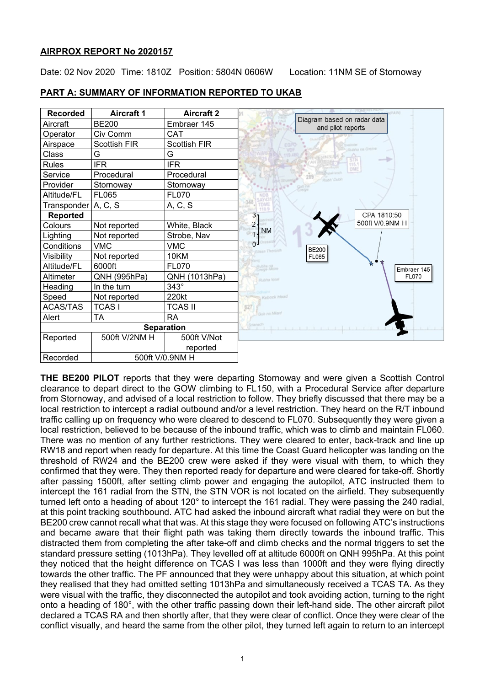## **AIRPROX REPORT No 2020157**

Date: 02 Nov 2020 Time: 1810Z Position: 5804N 0606W Location: 11NM SE of Stornoway



**PART A: SUMMARY OF INFORMATION REPORTED TO UKAB**

**THE BE200 PILOT** reports that they were departing Stornoway and were given a Scottish Control clearance to depart direct to the GOW climbing to FL150, with a Procedural Service after departure from Stornoway, and advised of a local restriction to follow. They briefly discussed that there may be a local restriction to intercept a radial outbound and/or a level restriction. They heard on the R/T inbound traffic calling up on frequency who were cleared to descend to FL070. Subsequently they were given a local restriction, believed to be because of the inbound traffic, which was to climb and maintain FL060. There was no mention of any further restrictions. They were cleared to enter, back-track and line up RW18 and report when ready for departure. At this time the Coast Guard helicopter was landing on the threshold of RW24 and the BE200 crew were asked if they were visual with them, to which they confirmed that they were. They then reported ready for departure and were cleared for take-off. Shortly after passing 1500ft, after setting climb power and engaging the autopilot, ATC instructed them to intercept the 161 radial from the STN, the STN VOR is not located on the airfield. They subsequently turned left onto a heading of about 120° to intercept the 161 radial. They were passing the 240 radial, at this point tracking southbound. ATC had asked the inbound aircraft what radial they were on but the BE200 crew cannot recall what that was. At this stage they were focused on following ATC's instructions and became aware that their flight path was taking them directly towards the inbound traffic. This distracted them from completing the after take-off and climb checks and the normal triggers to set the standard pressure setting (1013hPa). They levelled off at altitude 6000ft on QNH 995hPa. At this point they noticed that the height difference on TCAS I was less than 1000ft and they were flying directly towards the other traffic. The PF announced that they were unhappy about this situation, at which point they realised that they had omitted setting 1013hPa and simultaneously received a TCAS TA. As they were visual with the traffic, they disconnected the autopilot and took avoiding action, turning to the right onto a heading of 180°, with the other traffic passing down their left-hand side. The other aircraft pilot declared a TCAS RA and then shortly after, that they were clear of conflict. Once they were clear of the conflict visually, and heard the same from the other pilot, they turned left again to return to an intercept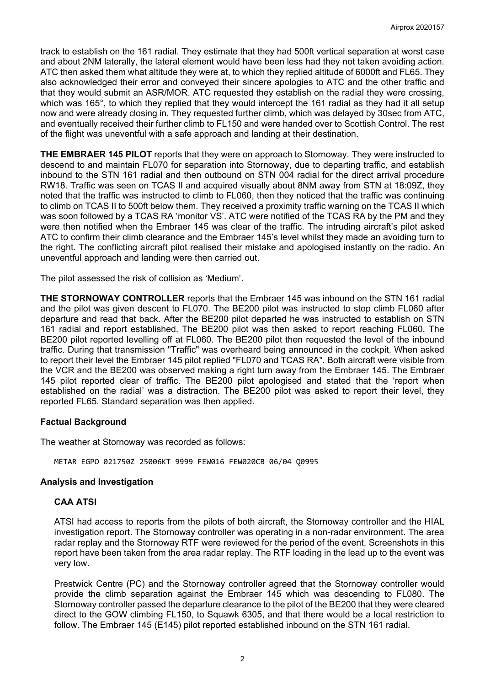track to establish on the 161 radial. They estimate that they had 500ft vertical separation at worst case and about 2NM laterally, the lateral element would have been less had they not taken avoiding action. ATC then asked them what altitude they were at, to which they replied altitude of 6000ft and FL65. They also acknowledged their error and conveyed their sincere apologies to ATC and the other traffic and that they would submit an ASR/MOR. ATC requested they establish on the radial they were crossing, which was 165°, to which they replied that they would intercept the 161 radial as they had it all setup now and were already closing in. They requested further climb, which was delayed by 30sec from ATC, and eventually received their further climb to FL150 and were handed over to Scottish Control. The rest of the flight was uneventful with a safe approach and landing at their destination.

**THE EMBRAER 145 PILOT** reports that they were on approach to Stornoway. They were instructed to descend to and maintain FL070 for separation into Stornoway, due to departing traffic, and establish inbound to the STN 161 radial and then outbound on STN 004 radial for the direct arrival procedure RW18. Traffic was seen on TCAS II and acquired visually about 8NM away from STN at 18:09Z, they noted that the traffic was instructed to climb to FL060, then they noticed that the traffic was continuing to climb on TCAS II to 500ft below them. They received a proximity traffic warning on the TCAS II which was soon followed by a TCAS RA 'monitor VS'. ATC were notified of the TCAS RA by the PM and they were then notified when the Embraer 145 was clear of the traffic. The intruding aircraft's pilot asked ATC to confirm their climb clearance and the Embraer 145's level whilst they made an avoiding turn to the right. The conflicting aircraft pilot realised their mistake and apologised instantly on the radio. An uneventful approach and landing were then carried out.

The pilot assessed the risk of collision as 'Medium'.

**THE STORNOWAY CONTROLLER** reports that the Embraer 145 was inbound on the STN 161 radial and the pilot was given descent to FL070. The BE200 pilot was instructed to stop climb FL060 after departure and read that back. After the BE200 pilot departed he was instructed to establish on STN 161 radial and report established. The BE200 pilot was then asked to report reaching FL060. The BE200 pilot reported levelling off at FL060. The BE200 pilot then requested the level of the inbound traffic. During that transmission "Traffic" was overheard being announced in the cockpit. When asked to report their level the Embraer 145 pilot replied "FL070 and TCAS RA". Both aircraft were visible from the VCR and the BE200 was observed making a right turn away from the Embraer 145. The Embraer 145 pilot reported clear of traffic. The BE200 pilot apologised and stated that the 'report when established on the radial' was a distraction. The BE200 pilot was asked to report their level, they reported FL65. Standard separation was then applied.

# **Factual Background**

The weather at Stornoway was recorded as follows:

METAR EGPO 021750Z 25006KT 9999 FEW016 FEW020CB 06/04 Q0995

# **Analysis and Investigation**

# **CAA ATSI**

ATSI had access to reports from the pilots of both aircraft, the Stornoway controller and the HIAL investigation report. The Stornoway controller was operating in a non-radar environment. The area radar replay and the Stornoway RTF were reviewed for the period of the event. Screenshots in this report have been taken from the area radar replay. The RTF loading in the lead up to the event was very low.

Prestwick Centre (PC) and the Stornoway controller agreed that the Stornoway controller would provide the climb separation against the Embraer 145 which was descending to FL080. The Stornoway controller passed the departure clearance to the pilot of the BE200 that they were cleared direct to the GOW climbing FL150, to Squawk 6305, and that there would be a local restriction to follow. The Embraer 145 (E145) pilot reported established inbound on the STN 161 radial.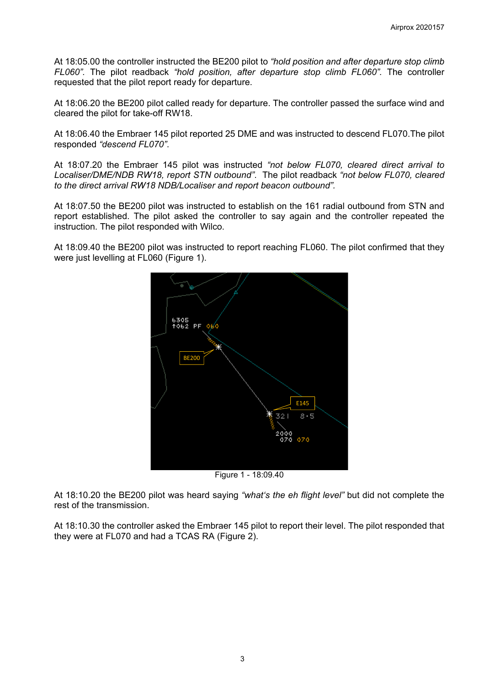At 18:05.00 the controller instructed the BE200 pilot to *"hold position and after departure stop climb FL060".* The pilot readback *"hold position, after departure stop climb FL060".* The controller requested that the pilot report ready for departure.

At 18:06.20 the BE200 pilot called ready for departure. The controller passed the surface wind and cleared the pilot for take-off RW18.

At 18:06.40 the Embraer 145 pilot reported 25 DME and was instructed to descend FL070.The pilot responded *"descend FL070"*.

At 18:07.20 the Embraer 145 pilot was instructed *"not below FL070, cleared direct arrival to Localiser/DME/NDB RW18, report STN outbound"*. The pilot readback *"not below FL070, cleared to the direct arrival RW18 NDB/Localiser and report beacon outbound".* 

At 18:07.50 the BE200 pilot was instructed to establish on the 161 radial outbound from STN and report established. The pilot asked the controller to say again and the controller repeated the instruction. The pilot responded with Wilco.

At 18:09.40 the BE200 pilot was instructed to report reaching FL060. The pilot confirmed that they were just levelling at FL060 (Figure 1).



Figure 1 - 18:09.40

At 18:10.20 the BE200 pilot was heard saying *"what's the eh flight level"* but did not complete the rest of the transmission.

At 18:10.30 the controller asked the Embraer 145 pilot to report their level. The pilot responded that they were at FL070 and had a TCAS RA (Figure 2).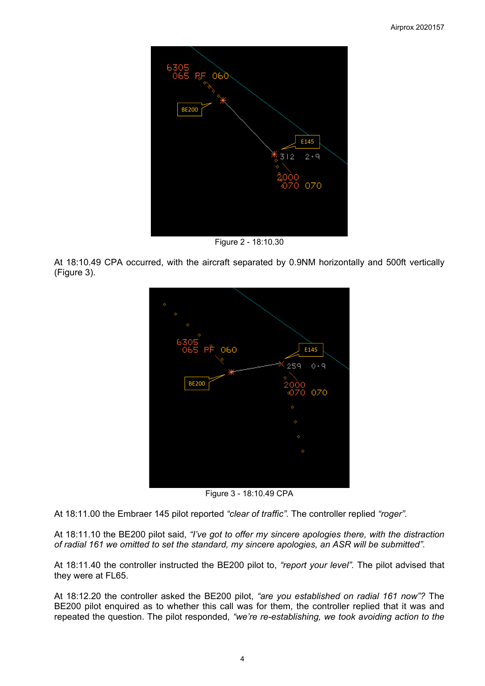

Figure 2 - 18:10.30

At 18:10.49 CPA occurred, with the aircraft separated by 0.9NM horizontally and 500ft vertically (Figure 3).



Figure 3 - 18:10.49 CPA

At 18:11.00 the Embraer 145 pilot reported *"clear of traffic".* The controller replied *"roger".*

At 18:11.10 the BE200 pilot said, *"I've got to offer my sincere apologies there, with the distraction of radial 161 we omitted to set the standard, my sincere apologies, an ASR will be submitted".*

At 18:11.40 the controller instructed the BE200 pilot to, *"report your level".* The pilot advised that they were at FL65.

At 18:12.20 the controller asked the BE200 pilot, *"are you established on radial 161 now"?* The BE200 pilot enquired as to whether this call was for them, the controller replied that it was and repeated the question. The pilot responded, *"we're re-establishing, we took avoiding action to the*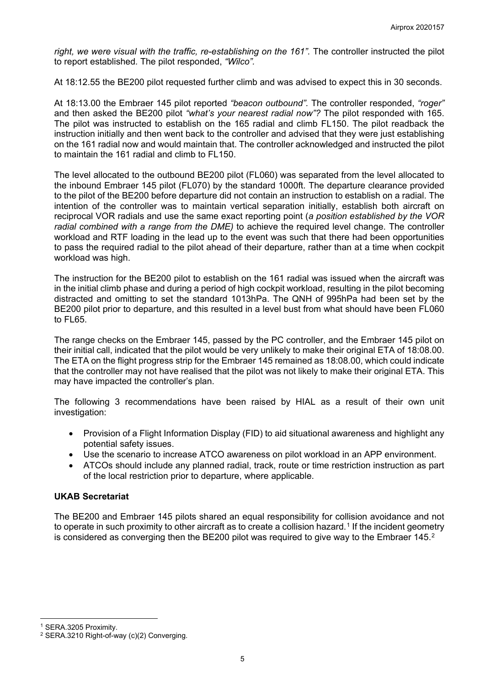right, we were visual with the traffic, re-establishing on the 161". The controller instructed the pilot to report established*.* The pilot responded, *"Wilco".*

At 18:12.55 the BE200 pilot requested further climb and was advised to expect this in 30 seconds.

At 18:13.00 the Embraer 145 pilot reported *"beacon outbound".* The controller responded, *"roger"* and then asked the BE200 pilot *"what's your nearest radial now"?* The pilot responded with 165. The pilot was instructed to establish on the 165 radial and climb FL150. The pilot readback the instruction initially and then went back to the controller and advised that they were just establishing on the 161 radial now and would maintain that. The controller acknowledged and instructed the pilot to maintain the 161 radial and climb to FL150.

The level allocated to the outbound BE200 pilot (FL060) was separated from the level allocated to the inbound Embraer 145 pilot (FL070) by the standard 1000ft. The departure clearance provided to the pilot of the BE200 before departure did not contain an instruction to establish on a radial. The intention of the controller was to maintain vertical separation initially, establish both aircraft on reciprocal VOR radials and use the same exact reporting point (*a position established by the VOR radial combined with a range from the DME)* to achieve the required level change. The controller workload and RTF loading in the lead up to the event was such that there had been opportunities to pass the required radial to the pilot ahead of their departure, rather than at a time when cockpit workload was high.

The instruction for the BE200 pilot to establish on the 161 radial was issued when the aircraft was in the initial climb phase and during a period of high cockpit workload, resulting in the pilot becoming distracted and omitting to set the standard 1013hPa. The QNH of 995hPa had been set by the BE200 pilot prior to departure, and this resulted in a level bust from what should have been FL060 to FL65.

The range checks on the Embraer 145, passed by the PC controller, and the Embraer 145 pilot on their initial call, indicated that the pilot would be very unlikely to make their original ETA of 18:08.00. The ETA on the flight progress strip for the Embraer 145 remained as 18:08.00, which could indicate that the controller may not have realised that the pilot was not likely to make their original ETA. This may have impacted the controller's plan.

The following 3 recommendations have been raised by HIAL as a result of their own unit investigation:

- Provision of a Flight Information Display (FID) to aid situational awareness and highlight any potential safety issues.
- Use the scenario to increase ATCO awareness on pilot workload in an APP environment.
- ATCOs should include any planned radial, track, route or time restriction instruction as part of the local restriction prior to departure, where applicable.

# **UKAB Secretariat**

The BE200 and Embraer 145 pilots shared an equal responsibility for collision avoidance and not to operate in such proximity to other aircraft as to create a collision hazard.<sup>[1](#page-4-0)</sup> If the incident geometry is considered as converging then the BE[2](#page-4-1)00 pilot was required to give way to the Embraer 145.<sup>2</sup>

<span id="page-4-0"></span><sup>1</sup> SERA.3205 Proximity.

<span id="page-4-1"></span><sup>&</sup>lt;sup>2</sup> SERA.3210 Right-of-way (c)(2) Converging.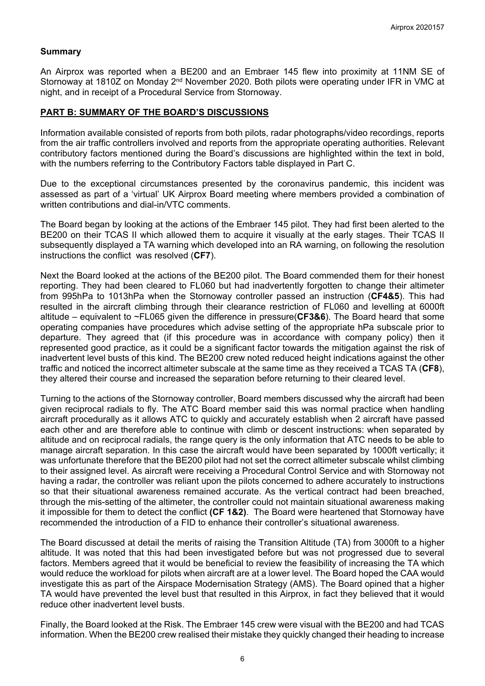### **Summary**

An Airprox was reported when a BE200 and an Embraer 145 flew into proximity at 11NM SE of Stornoway at 1810Z on Monday 2<sup>nd</sup> November 2020. Both pilots were operating under IFR in VMC at night, and in receipt of a Procedural Service from Stornoway.

### **PART B: SUMMARY OF THE BOARD'S DISCUSSIONS**

Information available consisted of reports from both pilots, radar photographs/video recordings, reports from the air traffic controllers involved and reports from the appropriate operating authorities. Relevant contributory factors mentioned during the Board's discussions are highlighted within the text in bold, with the numbers referring to the Contributory Factors table displayed in Part C.

Due to the exceptional circumstances presented by the coronavirus pandemic, this incident was assessed as part of a 'virtual' UK Airprox Board meeting where members provided a combination of written contributions and dial-in/VTC comments.

The Board began by looking at the actions of the Embraer 145 pilot. They had first been alerted to the BE200 on their TCAS II which allowed them to acquire it visually at the early stages. Their TCAS II subsequently displayed a TA warning which developed into an RA warning, on following the resolution instructions the conflict was resolved (**CF7**).

Next the Board looked at the actions of the BE200 pilot. The Board commended them for their honest reporting. They had been cleared to FL060 but had inadvertently forgotten to change their altimeter from 995hPa to 1013hPa when the Stornoway controller passed an instruction (**CF4&5**). This had resulted in the aircraft climbing through their clearance restriction of FL060 and levelling at 6000ft altitude – equivalent to ~FL065 given the difference in pressure(**CF3&6**). The Board heard that some operating companies have procedures which advise setting of the appropriate hPa subscale prior to departure. They agreed that (if this procedure was in accordance with company policy) then it represented good practice, as it could be a significant factor towards the mitigation against the risk of inadvertent level busts of this kind. The BE200 crew noted reduced height indications against the other traffic and noticed the incorrect altimeter subscale at the same time as they received a TCAS TA (**CF8**), they altered their course and increased the separation before returning to their cleared level.

Turning to the actions of the Stornoway controller, Board members discussed why the aircraft had been given reciprocal radials to fly. The ATC Board member said this was normal practice when handling aircraft procedurally as it allows ATC to quickly and accurately establish when 2 aircraft have passed each other and are therefore able to continue with climb or descent instructions: when separated by altitude and on reciprocal radials, the range query is the only information that ATC needs to be able to manage aircraft separation. In this case the aircraft would have been separated by 1000ft vertically; it was unfortunate therefore that the BE200 pilot had not set the correct altimeter subscale whilst climbing to their assigned level. As aircraft were receiving a Procedural Control Service and with Stornoway not having a radar, the controller was reliant upon the pilots concerned to adhere accurately to instructions so that their situational awareness remained accurate. As the vertical contract had been breached, through the mis-setting of the altimeter, the controller could not maintain situational awareness making it impossible for them to detect the conflict **(CF 1&2)**. The Board were heartened that Stornoway have recommended the introduction of a FID to enhance their controller's situational awareness.

The Board discussed at detail the merits of raising the Transition Altitude (TA) from 3000ft to a higher altitude. It was noted that this had been investigated before but was not progressed due to several factors. Members agreed that it would be beneficial to review the feasibility of increasing the TA which would reduce the workload for pilots when aircraft are at a lower level. The Board hoped the CAA would investigate this as part of the Airspace Modernisation Strategy (AMS). The Board opined that a higher TA would have prevented the level bust that resulted in this Airprox, in fact they believed that it would reduce other inadvertent level busts.

Finally, the Board looked at the Risk. The Embraer 145 crew were visual with the BE200 and had TCAS information. When the BE200 crew realised their mistake they quickly changed their heading to increase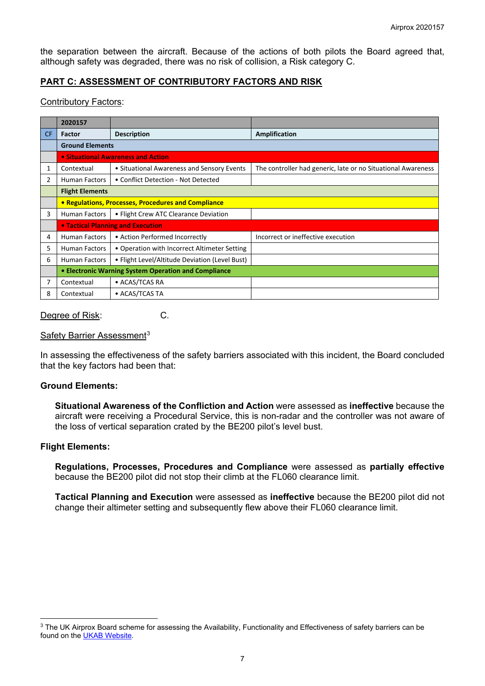the separation between the aircraft. Because of the actions of both pilots the Board agreed that, although safety was degraded, there was no risk of collision, a Risk category C.

# **PART C: ASSESSMENT OF CONTRIBUTORY FACTORS AND RISK**

### Contributory Factors:

|     | 2020157                                                    |                                                |                                                              |
|-----|------------------------------------------------------------|------------------------------------------------|--------------------------------------------------------------|
| CF. | Factor                                                     | <b>Description</b>                             | Amplification                                                |
|     | <b>Ground Elements</b>                                     |                                                |                                                              |
|     | • Situational Awareness and Action                         |                                                |                                                              |
| 1   | Contextual                                                 | • Situational Awareness and Sensory Events     | The controller had generic, late or no Situational Awareness |
| 2   | <b>Human Factors</b>                                       | • Conflict Detection - Not Detected            |                                                              |
|     | <b>Flight Elements</b>                                     |                                                |                                                              |
|     | <b>• Regulations, Processes, Procedures and Compliance</b> |                                                |                                                              |
| 3   | Human Factors                                              | • Flight Crew ATC Clearance Deviation          |                                                              |
|     | <b>.</b> Tactical Planning and Execution                   |                                                |                                                              |
| 4   | <b>Human Factors</b>                                       | • Action Performed Incorrectly                 | Incorrect or ineffective execution                           |
| 5   | <b>Human Factors</b>                                       | • Operation with Incorrect Altimeter Setting   |                                                              |
| 6   | Human Factors                                              | • Flight Level/Altitude Deviation (Level Bust) |                                                              |
|     | • Electronic Warning System Operation and Compliance       |                                                |                                                              |
| 7   | Contextual                                                 | • ACAS/TCAS RA                                 |                                                              |
| 8   | Contextual                                                 | • ACAS/TCAS TA                                 |                                                              |

### Degree of Risk: C.

# Safety Barrier Assessment<sup>[3](#page-6-0)</sup>

In assessing the effectiveness of the safety barriers associated with this incident, the Board concluded that the key factors had been that:

### **Ground Elements:**

**Situational Awareness of the Confliction and Action** were assessed as **ineffective** because the aircraft were receiving a Procedural Service, this is non-radar and the controller was not aware of the loss of vertical separation crated by the BE200 pilot's level bust.

### **Flight Elements:**

**Regulations, Processes, Procedures and Compliance** were assessed as **partially effective** because the BE200 pilot did not stop their climb at the FL060 clearance limit.

**Tactical Planning and Execution** were assessed as **ineffective** because the BE200 pilot did not change their altimeter setting and subsequently flew above their FL060 clearance limit.

<span id="page-6-0"></span><sup>&</sup>lt;sup>3</sup> The UK Airprox Board scheme for assessing the Availability, Functionality and Effectiveness of safety barriers can be found on the [UKAB Website.](http://www.airproxboard.org.uk/Learn-more/Airprox-Barrier-Assessment/)